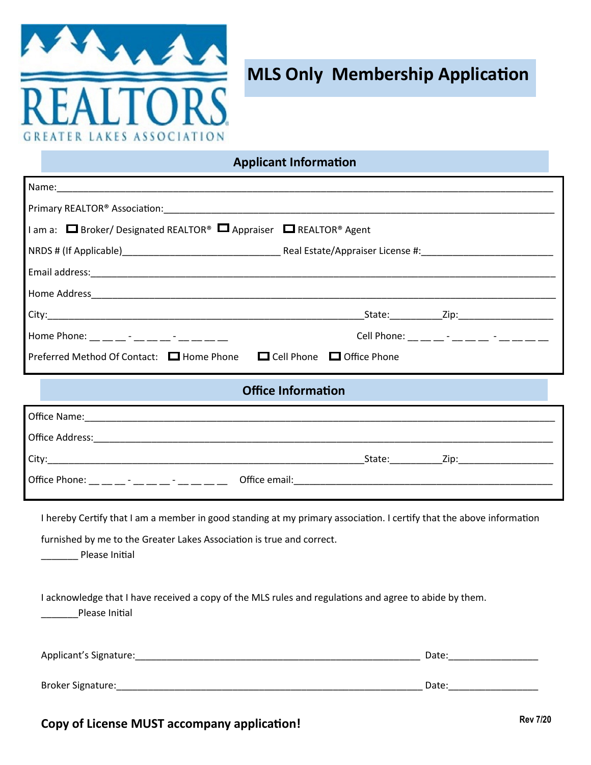

## **MLS Only Membership Application**

**Applicant Information**

| $\Box$ am a: $\Box$ Broker/ Designated REALTOR® $\Box$ Appraiser $\Box$ REALTOR® Agent |                                                 |  |  |
|----------------------------------------------------------------------------------------|-------------------------------------------------|--|--|
|                                                                                        |                                                 |  |  |
|                                                                                        |                                                 |  |  |
|                                                                                        |                                                 |  |  |
|                                                                                        |                                                 |  |  |
| Home Phone: __ __ _ - __ _ _ - __ _ - __ _ _ _                                         | Cell Phone: __ _ _ _ - __ _ - _ _ - _ _ _ _ _ _ |  |  |
| Preferred Method Of Contact: □ Home Phone □ Cell Phone □ Office Phone                  |                                                 |  |  |
| <b>Office Information</b>                                                              |                                                 |  |  |
|                                                                                        |                                                 |  |  |

| Office Address:                                     |               |        |      |  |
|-----------------------------------------------------|---------------|--------|------|--|
| City:                                               |               | State: | 7in: |  |
| Office Phone:<br>$\sim$<br>$\overline{\phantom{0}}$ | Office email: |        |      |  |

I hereby Certify that I am a member in good standing at my primary association. I certify that the above information

furnished by me to the Greater Lakes Association is true and correct.

Please Initial

I acknowledge that I have received a copy of the MLS rules and regulations and agree to abide by them.

Please Initial

| Applicant's Signature: | Date: |
|------------------------|-------|
| Broker Signature:      | Date: |

## **Copy of License MUST accompany application!**